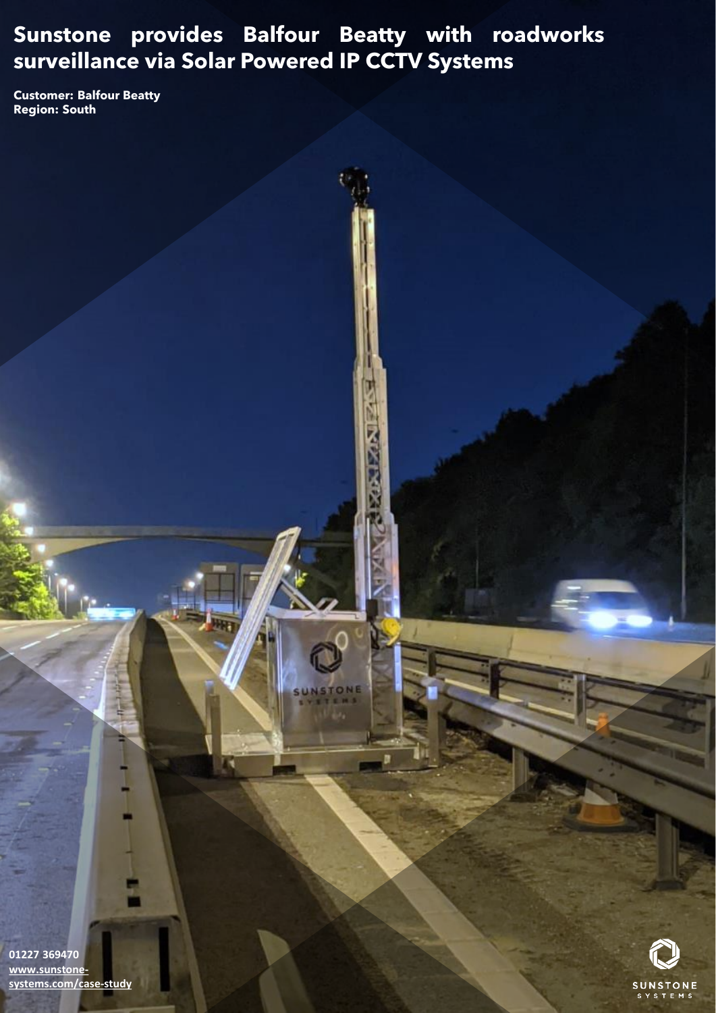# **Sunstone provides Balfour Beatty with roadworks surveillance via Solar Powered IP CCTV Systems**

٦

**Zake Max** 

**Customer: Balfour Beatty Region: South** 



**01227 369470 www.sunstone[systems.com/case-study](http://www.sunstone-systems.com/case-study)**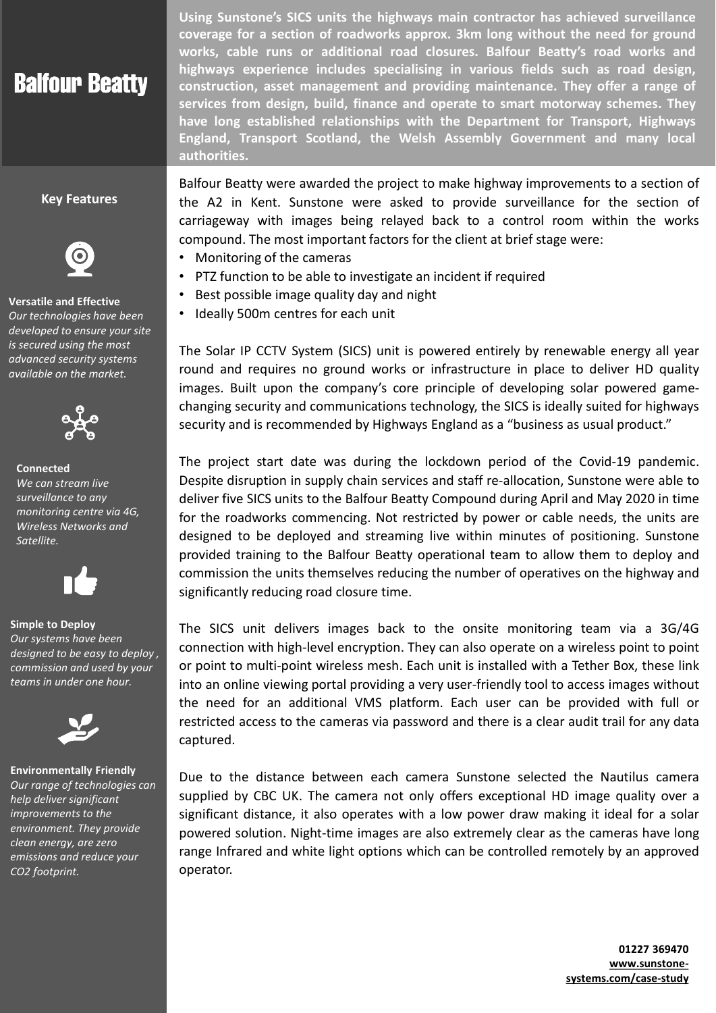# **Balfour Beatty**

## **Key Features**



#### **Versatile and Effective**

*Our technologies have been developed to ensure your site is secured using the most advanced security systems available on the market.* 



### **Connected** *We can stream live surveillance to any monitoring centre via 4G, Wireless Networks and*



## **Simple to Deploy**

*Satellite.*

*Our systems have been designed to be easy to deploy , commission and used by your teams in under one hour.* 



#### **Environmentally Friendly** *Our range of technologies can help deliver significant improvements to the environment. They provide clean energy, are zero emissions and reduce your CO2 footprint.*

**Using Sunstone's SICS units the highways main contractor has achieved surveillance coverage for a section of roadworks approx. 3km long without the need for ground works, cable runs or additional road closures. Balfour Beatty's road works and highways experience includes specialising in various fields such as road design, construction, asset management and providing maintenance. They offer a range of services from design, build, finance and operate to smart motorway schemes. They have long established relationships with the Department for Transport, Highways England, Transport Scotland, the Welsh Assembly Government and many local authorities.**

Balfour Beatty were awarded the project to make highway improvements to a section of the A2 in Kent. Sunstone were asked to provide surveillance for the section of carriageway with images being relayed back to a control room within the works compound. The most important factors for the client at brief stage were:

- Monitoring of the cameras
- PTZ function to be able to investigate an incident if required
- Best possible image quality day and night
- Ideally 500m centres for each unit

The Solar IP CCTV System (SICS) unit is powered entirely by renewable energy all year round and requires no ground works or infrastructure in place to deliver HD quality images. Built upon the company's core principle of developing solar powered gamechanging security and communications technology, the SICS is ideally suited for highways security and is recommended by Highways England as a "business as usual product."

The project start date was during the lockdown period of the Covid-19 pandemic. Despite disruption in supply chain services and staff re-allocation, Sunstone were able to deliver five SICS units to the Balfour Beatty Compound during April and May 2020 in time for the roadworks commencing. Not restricted by power or cable needs, the units are designed to be deployed and streaming live within minutes of positioning. Sunstone provided training to the Balfour Beatty operational team to allow them to deploy and commission the units themselves reducing the number of operatives on the highway and significantly reducing road closure time.

The SICS unit delivers images back to the onsite monitoring team via a 3G/4G connection with high-level encryption. They can also operate on a wireless point to point or point to multi-point wireless mesh. Each unit is installed with a Tether Box, these link into an online viewing portal providing a very user-friendly tool to access images without the need for an additional VMS platform. Each user can be provided with full or restricted access to the cameras via password and there is a clear audit trail for any data captured.

Due to the distance between each camera Sunstone selected the Nautilus camera supplied by CBC UK. The camera not only offers exceptional HD image quality over a significant distance, it also operates with a low power draw making it ideal for a solar powered solution. Night-time images are also extremely clear as the cameras have long range Infrared and white light options which can be controlled remotely by an approved operator.

> **01227 369470 www.sunstone[systems.com/case-study](https://www.sunstone-systems.com/case-study)**